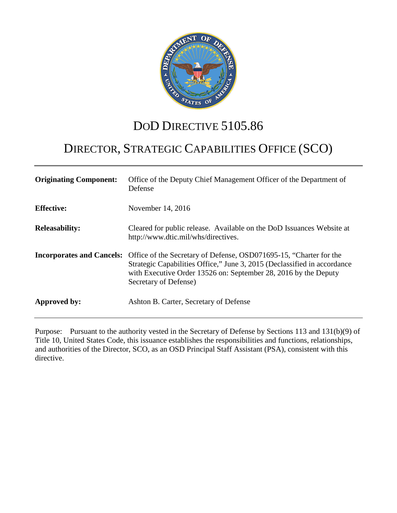

## DOD DIRECTIVE 5105.86

# DIRECTOR, STRATEGIC CAPABILITIES OFFICE (SCO)

| <b>Originating Component:</b> | Office of the Deputy Chief Management Officer of the Department of<br>Defense                                                                                                                                                                                               |
|-------------------------------|-----------------------------------------------------------------------------------------------------------------------------------------------------------------------------------------------------------------------------------------------------------------------------|
| <b>Effective:</b>             | November 14, 2016                                                                                                                                                                                                                                                           |
| <b>Releasability:</b>         | Cleared for public release. Available on the DoD Issuances Website at<br>http://www.dtic.mil/whs/directives.                                                                                                                                                                |
|                               | <b>Incorporates and Cancels:</b> Office of the Secretary of Defense, OSD071695-15, "Charter for the<br>Strategic Capabilities Office," June 3, 2015 (Declassified in accordance<br>with Executive Order 13526 on: September 28, 2016 by the Deputy<br>Secretary of Defense) |
| Approved by:                  | Ashton B. Carter, Secretary of Defense                                                                                                                                                                                                                                      |

Purpose: Pursuant to the authority vested in the Secretary of Defense by Sections 113 and 131(b)(9) of Title 10, United States Code, this issuance establishes the responsibilities and functions, relationships, and authorities of the Director, SCO, as an OSD Principal Staff Assistant (PSA), consistent with this directive.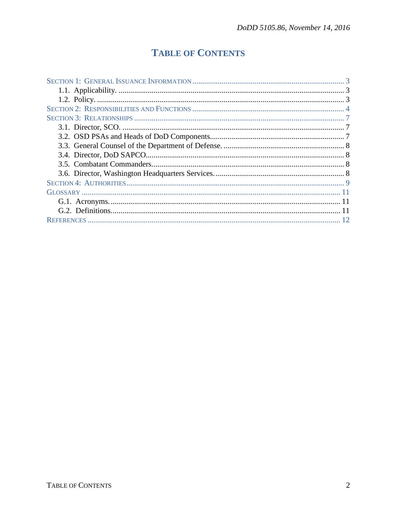## **TABLE OF CONTENTS**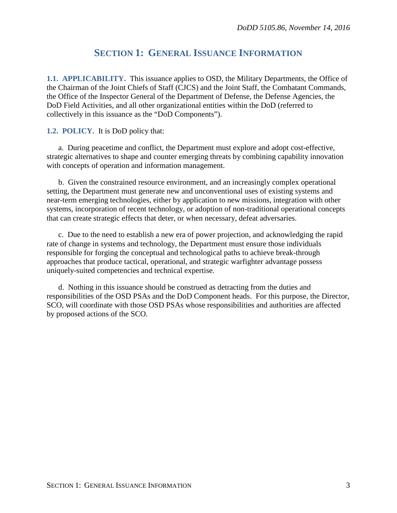## **SECTION 1: GENERAL ISSUANCE INFORMATION**

<span id="page-2-1"></span><span id="page-2-0"></span>**1.1. APPLICABILITY.** This issuance applies to OSD, the Military Departments, the Office of the Chairman of the Joint Chiefs of Staff (CJCS) and the Joint Staff, the Combatant Commands, the Office of the Inspector General of the Department of Defense, the Defense Agencies, the DoD Field Activities, and all other organizational entities within the DoD (referred to collectively in this issuance as the "DoD Components").

#### <span id="page-2-2"></span>**1.2. POLICY.** It is DoD policy that:

a. During peacetime and conflict, the Department must explore and adopt cost-effective, strategic alternatives to shape and counter emerging threats by combining capability innovation with concepts of operation and information management.

b. Given the constrained resource environment, and an increasingly complex operational setting, the Department must generate new and unconventional uses of existing systems and near-term emerging technologies, either by application to new missions, integration with other systems, incorporation of recent technology, or adoption of non-traditional operational concepts that can create strategic effects that deter, or when necessary, defeat adversaries.

c. Due to the need to establish a new era of power projection, and acknowledging the rapid rate of change in systems and technology, the Department must ensure those individuals responsible for forging the conceptual and technological paths to achieve break-through approaches that produce tactical, operational, and strategic warfighter advantage possess uniquely-suited competencies and technical expertise.

d. Nothing in this issuance should be construed as detracting from the duties and responsibilities of the OSD PSAs and the DoD Component heads. For this purpose, the Director, SCO, will coordinate with those OSD PSAs whose responsibilities and authorities are affected by proposed actions of the SCO.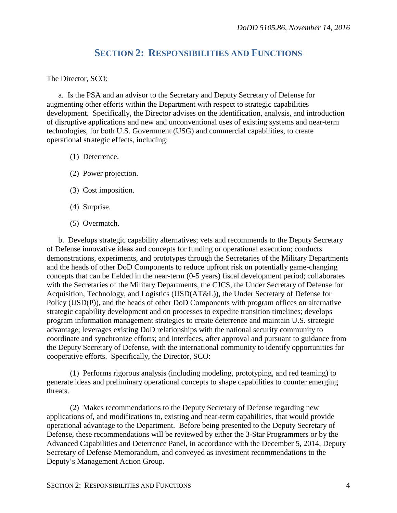## **SECTION 2: RESPONSIBILITIES AND FUNCTIONS**

<span id="page-3-0"></span>The Director, SCO:

a. Is the PSA and an advisor to the Secretary and Deputy Secretary of Defense for augmenting other efforts within the Department with respect to strategic capabilities development. Specifically, the Director advises on the identification, analysis, and introduction of disruptive applications and new and unconventional uses of existing systems and near-term technologies, for both U.S. Government (USG) and commercial capabilities, to create operational strategic effects, including:

- (1) Deterrence.
- (2) Power projection.
- (3) Cost imposition.
- (4) Surprise.
- (5) Overmatch.

b. Develops strategic capability alternatives; vets and recommends to the Deputy Secretary of Defense innovative ideas and concepts for funding or operational execution; conducts demonstrations, experiments, and prototypes through the Secretaries of the Military Departments and the heads of other DoD Components to reduce upfront risk on potentially game-changing concepts that can be fielded in the near-term (0-5 years) fiscal development period; collaborates with the Secretaries of the Military Departments, the CJCS, the Under Secretary of Defense for Acquisition, Technology, and Logistics (USD(AT&L)), the Under Secretary of Defense for Policy (USD(P)), and the heads of other DoD Components with program offices on alternative strategic capability development and on processes to expedite transition timelines; develops program information management strategies to create deterrence and maintain U.S. strategic advantage; leverages existing DoD relationships with the national security community to coordinate and synchronize efforts; and interfaces, after approval and pursuant to guidance from the Deputy Secretary of Defense, with the international community to identify opportunities for cooperative efforts. Specifically, the Director, SCO:

(1) Performs rigorous analysis (including modeling, prototyping, and red teaming) to generate ideas and preliminary operational concepts to shape capabilities to counter emerging threats.

(2) Makes recommendations to the Deputy Secretary of Defense regarding new applications of, and modifications to, existing and near-term capabilities, that would provide operational advantage to the Department. Before being presented to the Deputy Secretary of Defense, these recommendations will be reviewed by either the 3-Star Programmers or by the Advanced Capabilities and Deterrence Panel, in accordance with the December 5, 2014, Deputy Secretary of Defense Memorandum, and conveyed as investment recommendations to the Deputy's Management Action Group.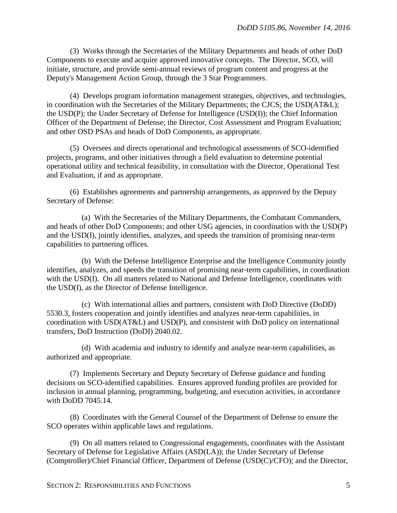(3) Works through the Secretaries of the Military Departments and heads of other DoD Components to execute and acquire approved innovative concepts. The Director, SCO, will initiate, structure, and provide semi-annual reviews of program content and progress at the Deputy's Management Action Group, through the 3 Star Programmers.

(4) Develops program information management strategies, objectives, and technologies, in coordination with the Secretaries of the Military Departments; the CJCS; the USD(AT&L); the USD(P); the Under Secretary of Defense for Intelligence (USD(I)); the Chief Information Officer of the Department of Defense; the Director, Cost Assessment and Program Evaluation; and other OSD PSAs and heads of DoD Components, as appropriate.

(5) Oversees and directs operational and technological assessments of SCO-identified projects, programs, and other initiatives through a field evaluation to determine potential operational utility and technical feasibility, in consultation with the Director, Operational Test and Evaluation, if and as appropriate.

(6) Establishes agreements and partnership arrangements, as approved by the Deputy Secretary of Defense:

(a) With the Secretaries of the Military Departments, the Combatant Commanders, and heads of other DoD Components; and other USG agencies, in coordination with the USD(P) and the USD(I), jointly identifies, analyzes, and speeds the transition of promising near-term capabilities to partnering offices.

(b) With the Defense Intelligence Enterprise and the Intelligence Community jointly identifies, analyzes, and speeds the transition of promising near-term capabilities, in coordination with the USD(I). On all matters related to National and Defense Intelligence, coordinates with the USD(I), as the Director of Defense Intelligence.

(c) With international allies and partners, consistent with DoD Directive (DoDD) 5530.3, fosters cooperation and jointly identifies and analyzes near-term capabilities, in coordination with USD(AT&L) and USD(P), and consistent with DoD policy on international transfers, DoD Instruction (DoDI) 2040.02.

(d) With academia and industry to identify and analyze near-term capabilities, as authorized and appropriate.

(7) Implements Secretary and Deputy Secretary of Defense guidance and funding decisions on SCO-identified capabilities. Ensures approved funding profiles are provided for inclusion in annual planning, programming, budgeting, and execution activities, in accordance with DoDD 7045.14.

(8) Coordinates with the General Counsel of the Department of Defense to ensure the SCO operates within applicable laws and regulations.

(9) On all matters related to Congressional engagements, coordinates with the Assistant Secretary of Defense for Legislative Affairs (ASD(LA)); the Under Secretary of Defense (Comptroller)/Chief Financial Officer, Department of Defense (USD(C)/CFO); and the Director,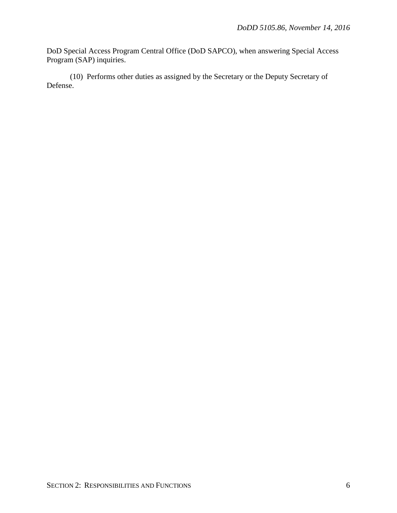DoD Special Access Program Central Office (DoD SAPCO), when answering Special Access Program (SAP) inquiries.

(10) Performs other duties as assigned by the Secretary or the Deputy Secretary of Defense.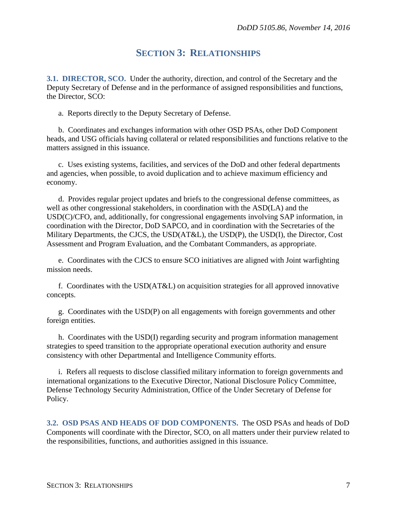### **SECTION 3: RELATIONSHIPS**

<span id="page-6-1"></span><span id="page-6-0"></span>**3.1. DIRECTOR, SCO.** Under the authority, direction, and control of the Secretary and the Deputy Secretary of Defense and in the performance of assigned responsibilities and functions, the Director, SCO:

a. Reports directly to the Deputy Secretary of Defense.

b. Coordinates and exchanges information with other OSD PSAs, other DoD Component heads, and USG officials having collateral or related responsibilities and functions relative to the matters assigned in this issuance.

c. Uses existing systems, facilities, and services of the DoD and other federal departments and agencies, when possible, to avoid duplication and to achieve maximum efficiency and economy.

d. Provides regular project updates and briefs to the congressional defense committees, as well as other congressional stakeholders, in coordination with the ASD(LA) and the USD(C)/CFO, and, additionally, for congressional engagements involving SAP information, in coordination with the Director, DoD SAPCO, and in coordination with the Secretaries of the Military Departments, the CJCS, the USD(AT&L), the USD(P), the USD(I), the Director, Cost Assessment and Program Evaluation, and the Combatant Commanders, as appropriate.

e. Coordinates with the CJCS to ensure SCO initiatives are aligned with Joint warfighting mission needs.

f. Coordinates with the USD(AT&L) on acquisition strategies for all approved innovative concepts.

g. Coordinates with the USD(P) on all engagements with foreign governments and other foreign entities.

h. Coordinates with the USD(I) regarding security and program information management strategies to speed transition to the appropriate operational execution authority and ensure consistency with other Departmental and Intelligence Community efforts.

i. Refers all requests to disclose classified military information to foreign governments and international organizations to the Executive Director, National Disclosure Policy Committee, Defense Technology Security Administration, Office of the Under Secretary of Defense for Policy.

<span id="page-6-2"></span>**3.2. OSD PSAS AND HEADS OF DOD COMPONENTS.** The OSD PSAs and heads of DoD Components will coordinate with the Director, SCO, on all matters under their purview related to the responsibilities, functions, and authorities assigned in this issuance.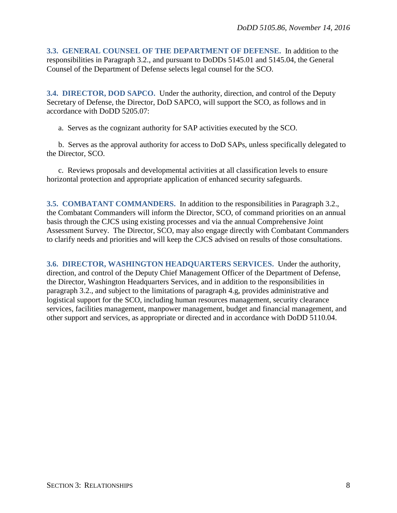<span id="page-7-0"></span>**3.3. GENERAL COUNSEL OF THE DEPARTMENT OF DEFENSE.** In addition to the responsibilities in Paragraph 3.2., and pursuant to DoDDs 5145.01 and 5145.04, the General Counsel of the Department of Defense selects legal counsel for the SCO.

<span id="page-7-1"></span>**3.4. DIRECTOR, DOD SAPCO.** Under the authority, direction, and control of the Deputy Secretary of Defense, the Director, DoD SAPCO, will support the SCO, as follows and in accordance with DoDD 5205.07:

a. Serves as the cognizant authority for SAP activities executed by the SCO.

b. Serves as the approval authority for access to DoD SAPs, unless specifically delegated to the Director, SCO.

c. Reviews proposals and developmental activities at all classification levels to ensure horizontal protection and appropriate application of enhanced security safeguards.

<span id="page-7-2"></span>**3.5. COMBATANT COMMANDERS.** In addition to the responsibilities in Paragraph 3.2., the Combatant Commanders will inform the Director, SCO, of command priorities on an annual basis through the CJCS using existing processes and via the annual Comprehensive Joint Assessment Survey. The Director, SCO, may also engage directly with Combatant Commanders to clarify needs and priorities and will keep the CJCS advised on results of those consultations.

<span id="page-7-3"></span>**3.6. DIRECTOR, WASHINGTON HEADQUARTERS SERVICES.** Under the authority, direction, and control of the Deputy Chief Management Officer of the Department of Defense, the Director, Washington Headquarters Services, and in addition to the responsibilities in paragraph 3.2., and subject to the limitations of paragraph 4.g, provides administrative and logistical support for the SCO, including human resources management, security clearance services, facilities management, manpower management, budget and financial management, and other support and services, as appropriate or directed and in accordance with DoDD 5110.04.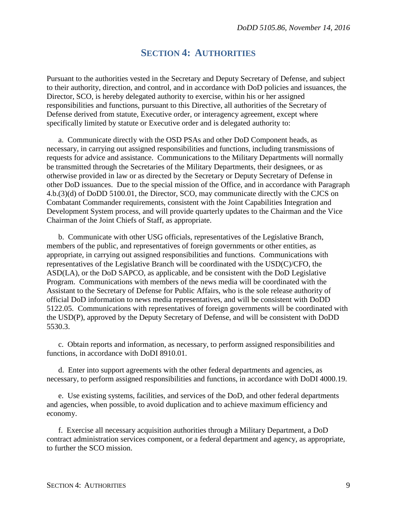### **SECTION 4: AUTHORITIES**

<span id="page-8-0"></span>Pursuant to the authorities vested in the Secretary and Deputy Secretary of Defense, and subject to their authority, direction, and control, and in accordance with DoD policies and issuances, the Director, SCO, is hereby delegated authority to exercise, within his or her assigned responsibilities and functions, pursuant to this Directive, all authorities of the Secretary of Defense derived from statute, Executive order, or interagency agreement, except where specifically limited by statute or Executive order and is delegated authority to:

a. Communicate directly with the OSD PSAs and other DoD Component heads, as necessary, in carrying out assigned responsibilities and functions, including transmissions of requests for advice and assistance. Communications to the Military Departments will normally be transmitted through the Secretaries of the Military Departments, their designees, or as otherwise provided in law or as directed by the Secretary or Deputy Secretary of Defense in other DoD issuances. Due to the special mission of the Office, and in accordance with Paragraph 4.b.(3)(d) of DoDD 5100.01, the Director, SCO, may communicate directly with the CJCS on Combatant Commander requirements, consistent with the Joint Capabilities Integration and Development System process, and will provide quarterly updates to the Chairman and the Vice Chairman of the Joint Chiefs of Staff, as appropriate.

b. Communicate with other USG officials, representatives of the Legislative Branch, members of the public, and representatives of foreign governments or other entities, as appropriate, in carrying out assigned responsibilities and functions. Communications with representatives of the Legislative Branch will be coordinated with the USD(C)/CFO, the ASD(LA), or the DoD SAPCO, as applicable, and be consistent with the DoD Legislative Program. Communications with members of the news media will be coordinated with the Assistant to the Secretary of Defense for Public Affairs, who is the sole release authority of official DoD information to news media representatives, and will be consistent with DoDD 5122.05. Communications with representatives of foreign governments will be coordinated with the USD(P), approved by the Deputy Secretary of Defense, and will be consistent with DoDD 5530.3.

c. Obtain reports and information, as necessary, to perform assigned responsibilities and functions, in accordance with DoDI 8910.01.

d. Enter into support agreements with the other federal departments and agencies, as necessary, to perform assigned responsibilities and functions, in accordance with DoDI 4000.19.

e. Use existing systems, facilities, and services of the DoD, and other federal departments and agencies, when possible, to avoid duplication and to achieve maximum efficiency and economy.

f. Exercise all necessary acquisition authorities through a Military Department, a DoD contract administration services component, or a federal department and agency, as appropriate, to further the SCO mission.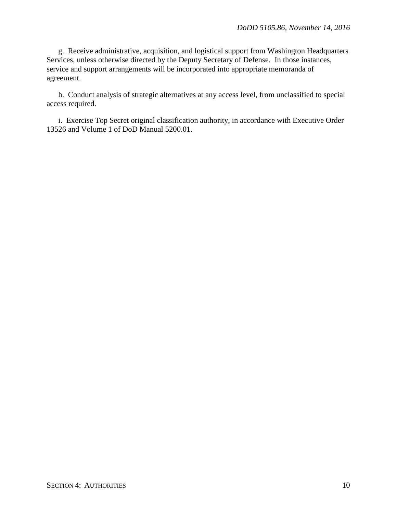g. Receive administrative, acquisition, and logistical support from Washington Headquarters Services, unless otherwise directed by the Deputy Secretary of Defense. In those instances, service and support arrangements will be incorporated into appropriate memoranda of agreement.

h. Conduct analysis of strategic alternatives at any access level, from unclassified to special access required.

i. Exercise Top Secret original classification authority, in accordance with Executive Order 13526 and Volume 1 of DoD Manual 5200.01.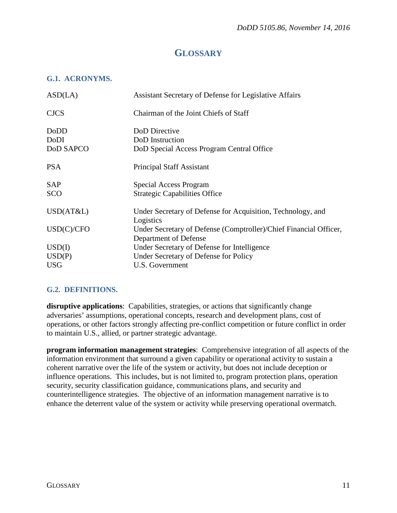## **GLOSSARY**

#### <span id="page-10-1"></span><span id="page-10-0"></span>**G.1. ACRONYMS.**

| ASD(LA)     | Assistant Secretary of Defense for Legislative Affairs                   |
|-------------|--------------------------------------------------------------------------|
| <b>CJCS</b> | Chairman of the Joint Chiefs of Staff                                    |
| DoDD        | DoD Directive                                                            |
| DoDI        | DoD Instruction                                                          |
| DoD SAPCO   | DoD Special Access Program Central Office                                |
| <b>PSA</b>  | <b>Principal Staff Assistant</b>                                         |
| <b>SAP</b>  | Special Access Program                                                   |
| SCO         | <b>Strategic Capabilities Office</b>                                     |
| USD(AT&L)   | Under Secretary of Defense for Acquisition, Technology, and<br>Logistics |
| USD(C)/CFO  | Under Secretary of Defense (Comptroller)/Chief Financial Officer,        |
|             | Department of Defense                                                    |
| USD(I)      | Under Secretary of Defense for Intelligence                              |
| USD(P)      | Under Secretary of Defense for Policy                                    |
| <b>USG</b>  | U.S. Government                                                          |

#### <span id="page-10-2"></span>**G.2. DEFINITIONS.**

**disruptive applications**: Capabilities, strategies, or actions that significantly change adversaries' assumptions, operational concepts, research and development plans, cost of operations, or other factors strongly affecting pre-conflict competition or future conflict in order to maintain U.S., allied, or partner strategic advantage.

**program information management strategies**: Comprehensive integration of all aspects of the information environment that surround a given capability or operational activity to sustain a coherent narrative over the life of the system or activity, but does not include deception or influence operations. This includes, but is not limited to, program protection plans, operation security, security classification guidance, communications plans, and security and counterintelligence strategies. The objective of an information management narrative is to enhance the deterrent value of the system or activity while preserving operational overmatch.